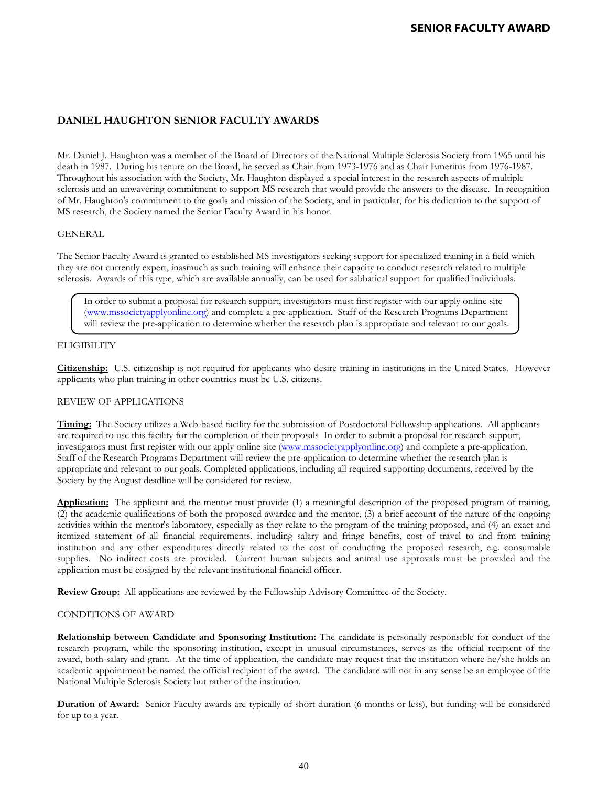# **DANIEL HAUGHTON SENIOR FACULTY AWARDS**

Mr. Daniel J. Haughton was a member of the Board of Directors of the National Multiple Sclerosis Society from 1965 until his death in 1987. During his tenure on the Board, he served as Chair from 1973-1976 and as Chair Emeritus from 1976-1987. Throughout his association with the Society, Mr. Haughton displayed a special interest in the research aspects of multiple sclerosis and an unwavering commitment to support MS research that would provide the answers to the disease. In recognition of Mr. Haughton's commitment to the goals and mission of the Society, and in particular, for his dedication to the support of MS research, the Society named the Senior Faculty Award in his honor.

### GENERAL

The Senior Faculty Award is granted to established MS investigators seeking support for specialized training in a field which they are not currently expert, inasmuch as such training will enhance their capacity to conduct research related to multiple sclerosis. Awards of this type, which are available annually, can be used for sabbatical support for qualified individuals.

In order to submit a proposal for research support, investigators must first register with our apply online site [\(www.mssocietyapplyonline.org\)](http://www.mssocietyapplyonline.org/) and complete a pre-application. Staff of the Research Programs Department will review the pre-application to determine whether the research plan is appropriate and relevant to our goals.

### **ELIGIBILITY**

**Citizenship:** U.S. citizenship is not required for applicants who desire training in institutions in the United States. However applicants who plan training in other countries must be U.S. citizens.

## REVIEW OF APPLICATIONS

**Timing:** The Society utilizes a Web-based facility for the submission of Postdoctoral Fellowship applications. All applicants are required to use this facility for the completion of their proposals In order to submit a proposal for research support, investigators must first register with our apply online site [\(www.mssocietyapplyonline.org\)](http://www.mssocietyapplyonline.org/) and complete a pre-application. Staff of the Research Programs Department will review the pre-application to determine whether the research plan is appropriate and relevant to our goals. Completed applications, including all required supporting documents, received by the Society by the August deadline will be considered for review.

**Application:** The applicant and the mentor must provide: (1) a meaningful description of the proposed program of training, (2) the academic qualifications of both the proposed awardee and the mentor, (3) a brief account of the nature of the ongoing activities within the mentor's laboratory, especially as they relate to the program of the training proposed, and (4) an exact and itemized statement of all financial requirements, including salary and fringe benefits, cost of travel to and from training institution and any other expenditures directly related to the cost of conducting the proposed research, e.g. consumable supplies. No indirect costs are provided. Current human subjects and animal use approvals must be provided and the application must be cosigned by the relevant institutional financial officer.

**Review Group:** All applications are reviewed by the Fellowship Advisory Committee of the Society.

## CONDITIONS OF AWARD

**Relationship between Candidate and Sponsoring Institution:** The candidate is personally responsible for conduct of the research program, while the sponsoring institution, except in unusual circumstances, serves as the official recipient of the award, both salary and grant. At the time of application, the candidate may request that the institution where he/she holds an academic appointment be named the official recipient of the award. The candidate will not in any sense be an employee of the National Multiple Sclerosis Society but rather of the institution.

**Duration of Award:** Senior Faculty awards are typically of short duration (6 months or less), but funding will be considered for up to a year.